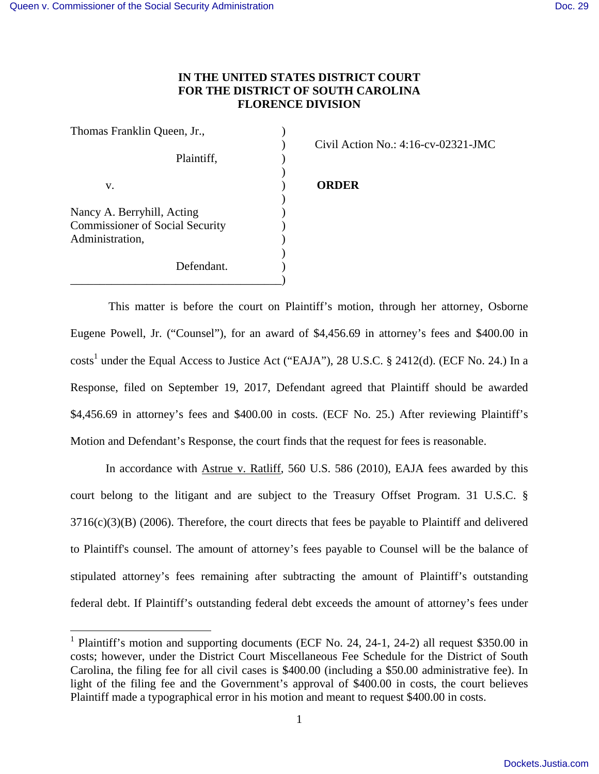## **IN THE UNITED STATES DISTRICT COURT FOR THE DISTRICT OF SOUTH CAROLINA FLORENCE DIVISION**

| Thomas Franklin Queen, Jr.,            |  |
|----------------------------------------|--|
|                                        |  |
| Plaintiff,                             |  |
|                                        |  |
| v.                                     |  |
|                                        |  |
| Nancy A. Berryhill, Acting             |  |
| <b>Commissioner of Social Security</b> |  |
| Administration,                        |  |
|                                        |  |
| Defendant.                             |  |
|                                        |  |

) Civil Action No.: 4:16-cv-02321-JMC

## v. ) **ORDER**

 This matter is before the court on Plaintiff's motion, through her attorney, Osborne Eugene Powell, Jr. ("Counsel"), for an award of \$4,456.69 in attorney's fees and \$400.00 in costs<sup>1</sup> under the Equal Access to Justice Act ("EAJA"), 28 U.S.C. § 2412(d). (ECF No. 24.) In a Response, filed on September 19, 2017, Defendant agreed that Plaintiff should be awarded \$4,456.69 in attorney's fees and \$400.00 in costs. (ECF No. 25.) After reviewing Plaintiff's Motion and Defendant's Response, the court finds that the request for fees is reasonable.

In accordance with Astrue v. Ratliff, 560 U.S. 586 (2010), EAJA fees awarded by this court belong to the litigant and are subject to the Treasury Offset Program. 31 U.S.C. §  $3716(c)(3)(B)$  (2006). Therefore, the court directs that fees be payable to Plaintiff and delivered to Plaintiff's counsel. The amount of attorney's fees payable to Counsel will be the balance of stipulated attorney's fees remaining after subtracting the amount of Plaintiff's outstanding federal debt. If Plaintiff's outstanding federal debt exceeds the amount of attorney's fees under

<sup>&</sup>lt;sup>1</sup> Plaintiff's motion and supporting documents (ECF No. 24, 24-1, 24-2) all request \$350.00 in costs; however, under the District Court Miscellaneous Fee Schedule for the District of South Carolina, the filing fee for all civil cases is \$400.00 (including a \$50.00 administrative fee). In light of the filing fee and the Government's approval of \$400.00 in costs, the court believes Plaintiff made a typographical error in his motion and meant to request \$400.00 in costs.